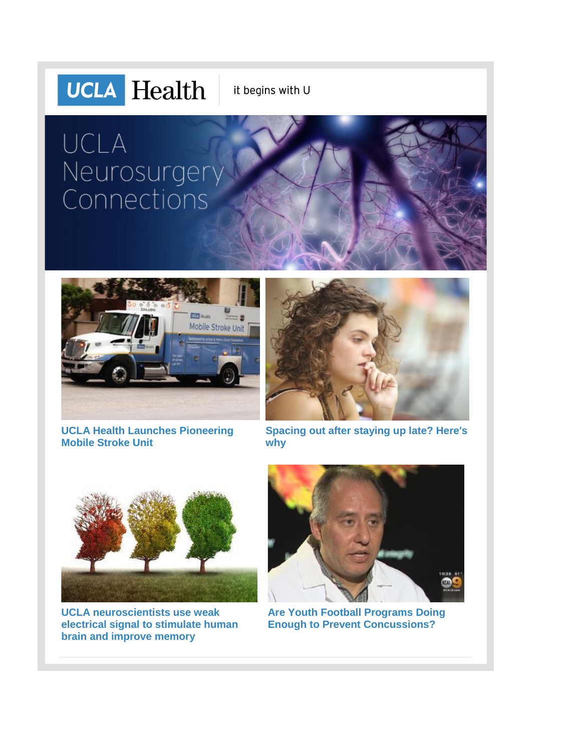# **UCLA** Health

it begins with U

# UCLA Neurosurgery Connections



**[UCLA Health Launches Pioneering](http://r20.rs6.net/tn.jsp?f=0018NB4xxdJ3Kw0-bjYKZ3AkFWPNfKjLdoufGCG4f3iRPhwPvVgWTxRvtLxeHauyGXBHcpaVJbbQWtK6az-ww0MF-QIwHbiJ8j9gcmHcIJ2BOezeN16Ed6jxikZUjllAVdSwKI2IQLEtayCarbSrADltb8MDcM0bP3vocn6tpjeRzOI72TdSof1wWYKMRC-4-s34DjJEs4SWg0=&c=PIZLTY4ZH0NM7B9UHQUyaCq-36LrRnsUhW_Stf-AiDhspXC5LHVHMw==&ch=LytKIV2DG6DMhkcm0rWK0pr67pR14EIIdolyCGp0Jlk8rN2hv_LIMA==)  [Mobile Stroke Unit](http://r20.rs6.net/tn.jsp?f=0018NB4xxdJ3Kw0-bjYKZ3AkFWPNfKjLdoufGCG4f3iRPhwPvVgWTxRvtLxeHauyGXBHcpaVJbbQWtK6az-ww0MF-QIwHbiJ8j9gcmHcIJ2BOezeN16Ed6jxikZUjllAVdSwKI2IQLEtayCarbSrADltb8MDcM0bP3vocn6tpjeRzOI72TdSof1wWYKMRC-4-s34DjJEs4SWg0=&c=PIZLTY4ZH0NM7B9UHQUyaCq-36LrRnsUhW_Stf-AiDhspXC5LHVHMw==&ch=LytKIV2DG6DMhkcm0rWK0pr67pR14EIIdolyCGp0Jlk8rN2hv_LIMA==)**



**[Spacing out after staying up late? Here's](http://r20.rs6.net/tn.jsp?f=0018NB4xxdJ3Kw0-bjYKZ3AkFWPNfKjLdoufGCG4f3iRPhwPvVgWTxRvtLxeHauyGXBi5YG0I0og4ngUzExn-0czCkVmuMvRhFC2IVKn5kUu8FVNAAvYJ2HQNkZMAWoj9T0ce25m-MbOAFKU3tsvtcArC-Qhc8qxrmTOq93hs7cB5wrl_DjhX2eNRhK2v6Dr-6A2A3j8RWYjbyBu9NTxRcPXXJ4KZqqHqJz2VvhgDrUvYk=&c=PIZLTY4ZH0NM7B9UHQUyaCq-36LrRnsUhW_Stf-AiDhspXC5LHVHMw==&ch=LytKIV2DG6DMhkcm0rWK0pr67pR14EIIdolyCGp0Jlk8rN2hv_LIMA==)  [why](http://r20.rs6.net/tn.jsp?f=0018NB4xxdJ3Kw0-bjYKZ3AkFWPNfKjLdoufGCG4f3iRPhwPvVgWTxRvtLxeHauyGXBi5YG0I0og4ngUzExn-0czCkVmuMvRhFC2IVKn5kUu8FVNAAvYJ2HQNkZMAWoj9T0ce25m-MbOAFKU3tsvtcArC-Qhc8qxrmTOq93hs7cB5wrl_DjhX2eNRhK2v6Dr-6A2A3j8RWYjbyBu9NTxRcPXXJ4KZqqHqJz2VvhgDrUvYk=&c=PIZLTY4ZH0NM7B9UHQUyaCq-36LrRnsUhW_Stf-AiDhspXC5LHVHMw==&ch=LytKIV2DG6DMhkcm0rWK0pr67pR14EIIdolyCGp0Jlk8rN2hv_LIMA==)**



**[UCLA neuroscientists use weak](http://r20.rs6.net/tn.jsp?f=0018NB4xxdJ3Kw0-bjYKZ3AkFWPNfKjLdoufGCG4f3iRPhwPvVgWTxRvtLxeHauyGXBgyptjQjuwz1SdUViLhKMyM-qamgq7PKDH_g4afPBE0S3_U1K9Clz77hFn8k8FCuhKM0FNVVQ5X3env-VwFIlADyQ6HpjGlC4iFokBWAckgUNj5USS4M0EpFlB8V5VJvhYvj3PMb72758AXzbs07JCzlD28lajLicgfswPFMGcOqtOGjRoW0Jx1ROenpzEv7NSupYsqKZTqwiThhkmGRgep-QJlXF1tU2u3FAhgK8L2M=&c=PIZLTY4ZH0NM7B9UHQUyaCq-36LrRnsUhW_Stf-AiDhspXC5LHVHMw==&ch=LytKIV2DG6DMhkcm0rWK0pr67pR14EIIdolyCGp0Jlk8rN2hv_LIMA==)  [electrical signal to stimulate human](http://r20.rs6.net/tn.jsp?f=0018NB4xxdJ3Kw0-bjYKZ3AkFWPNfKjLdoufGCG4f3iRPhwPvVgWTxRvtLxeHauyGXBgyptjQjuwz1SdUViLhKMyM-qamgq7PKDH_g4afPBE0S3_U1K9Clz77hFn8k8FCuhKM0FNVVQ5X3env-VwFIlADyQ6HpjGlC4iFokBWAckgUNj5USS4M0EpFlB8V5VJvhYvj3PMb72758AXzbs07JCzlD28lajLicgfswPFMGcOqtOGjRoW0Jx1ROenpzEv7NSupYsqKZTqwiThhkmGRgep-QJlXF1tU2u3FAhgK8L2M=&c=PIZLTY4ZH0NM7B9UHQUyaCq-36LrRnsUhW_Stf-AiDhspXC5LHVHMw==&ch=LytKIV2DG6DMhkcm0rWK0pr67pR14EIIdolyCGp0Jlk8rN2hv_LIMA==)  [brain and improve memory](http://r20.rs6.net/tn.jsp?f=0018NB4xxdJ3Kw0-bjYKZ3AkFWPNfKjLdoufGCG4f3iRPhwPvVgWTxRvtLxeHauyGXBgyptjQjuwz1SdUViLhKMyM-qamgq7PKDH_g4afPBE0S3_U1K9Clz77hFn8k8FCuhKM0FNVVQ5X3env-VwFIlADyQ6HpjGlC4iFokBWAckgUNj5USS4M0EpFlB8V5VJvhYvj3PMb72758AXzbs07JCzlD28lajLicgfswPFMGcOqtOGjRoW0Jx1ROenpzEv7NSupYsqKZTqwiThhkmGRgep-QJlXF1tU2u3FAhgK8L2M=&c=PIZLTY4ZH0NM7B9UHQUyaCq-36LrRnsUhW_Stf-AiDhspXC5LHVHMw==&ch=LytKIV2DG6DMhkcm0rWK0pr67pR14EIIdolyCGp0Jlk8rN2hv_LIMA==)**



**[Are Youth Football Programs Doing](http://r20.rs6.net/tn.jsp?f=0018NB4xxdJ3Kw0-bjYKZ3AkFWPNfKjLdoufGCG4f3iRPhwPvVgWTxRvtLxeHauyGXBnDVmt7r-hcEWI44cA9WBlz-pKCz5hnE-EMmZFkYHy9fMWV1t9vprTixYvHLxbfq_IaFaeSSh_A43hcm1pZXHMw_u45xaQqmHTYyPLOR0rnFNU1BmhX9Me5KinsSUIe7-cpAWaXEHoZxkTwsVThsPi2Y35Mig1-KgybIHaqbosRWHvJb3vkDEBxypRq_0I35N&c=PIZLTY4ZH0NM7B9UHQUyaCq-36LrRnsUhW_Stf-AiDhspXC5LHVHMw==&ch=LytKIV2DG6DMhkcm0rWK0pr67pR14EIIdolyCGp0Jlk8rN2hv_LIMA==)  [Enough to Prevent Concussions?](http://r20.rs6.net/tn.jsp?f=0018NB4xxdJ3Kw0-bjYKZ3AkFWPNfKjLdoufGCG4f3iRPhwPvVgWTxRvtLxeHauyGXBnDVmt7r-hcEWI44cA9WBlz-pKCz5hnE-EMmZFkYHy9fMWV1t9vprTixYvHLxbfq_IaFaeSSh_A43hcm1pZXHMw_u45xaQqmHTYyPLOR0rnFNU1BmhX9Me5KinsSUIe7-cpAWaXEHoZxkTwsVThsPi2Y35Mig1-KgybIHaqbosRWHvJb3vkDEBxypRq_0I35N&c=PIZLTY4ZH0NM7B9UHQUyaCq-36LrRnsUhW_Stf-AiDhspXC5LHVHMw==&ch=LytKIV2DG6DMhkcm0rWK0pr67pR14EIIdolyCGp0Jlk8rN2hv_LIMA==)**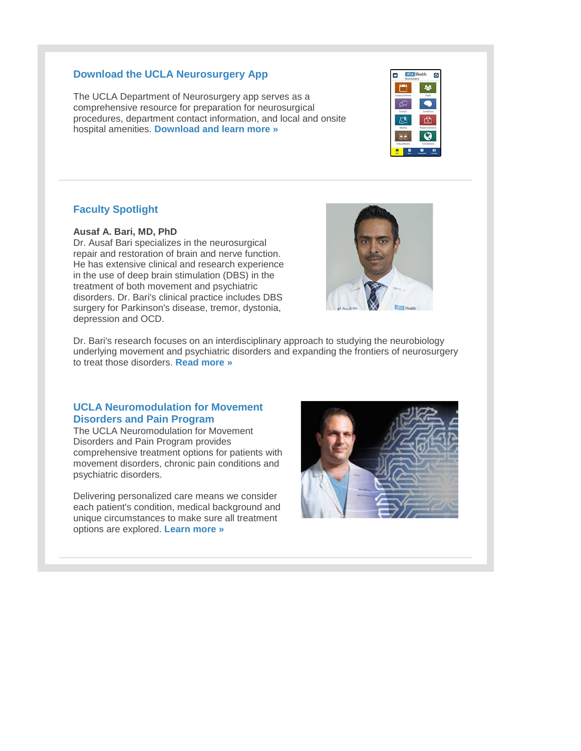#### **Download the UCLA Neurosurgery App**

The UCLA Department of Neurosurgery app serves as a comprehensive resource for preparation for neurosurgical procedures, department contact information, and local and onsite hospital amenities. **[Download and learn more »](http://r20.rs6.net/tn.jsp?f=0018NB4xxdJ3Kw0-bjYKZ3AkFWPNfKjLdoufGCG4f3iRPhwPvVgWTxRvqDPmVt-sNqErvmHFPZJ3djgvu2cjO3tkz9RA8WAeFxA3GAgnPPW2dVH1h4M2N-apVNHcUqooIQfA3rVBgabEfH9UULY1GnyOE8OI5rB7STy9b9ByA-_Uea9F6uA8WkFprMA5YGM_SI64g3D8Hb8NAWfP7nb0puR6A==&c=PIZLTY4ZH0NM7B9UHQUyaCq-36LrRnsUhW_Stf-AiDhspXC5LHVHMw==&ch=LytKIV2DG6DMhkcm0rWK0pr67pR14EIIdolyCGp0Jlk8rN2hv_LIMA==)**

### **Faculty Spotlight**

#### **Ausaf A. Bari, MD, PhD**

Dr. Ausaf Bari specializes in the neurosurgical repair and restoration of brain and nerve function. He has extensive clinical and research experience in the use of deep brain stimulation (DBS) in the treatment of both movement and psychiatric disorders. Dr. Bari's clinical practice includes DBS surgery for Parkinson's disease, tremor, dystonia, depression and OCD.



**COA** Health

ø

Dr. Bari's research focuses on an interdisciplinary approach to studying the neurobiology underlying movement and psychiatric disorders and expanding the frontiers of neurosurgery to treat those disorders. **[Read more »](http://r20.rs6.net/tn.jsp?f=0018NB4xxdJ3Kw0-bjYKZ3AkFWPNfKjLdoufGCG4f3iRPhwPvVgWTxRvtLxeHauyGXBFgIg6T7TYC6eSld0UEndXVBT7VLCGF5gHUmlwpmiNK6ABjCO6SQ1IEl3c_ioQPhV_570uOqFgQmA57NhzuZNjDs37QkFjHLjAPusqygleYXjo9UPf28NG5PkxWXCBtI0&c=PIZLTY4ZH0NM7B9UHQUyaCq-36LrRnsUhW_Stf-AiDhspXC5LHVHMw==&ch=LytKIV2DG6DMhkcm0rWK0pr67pR14EIIdolyCGp0Jlk8rN2hv_LIMA==)**

#### **UCLA Neuromodulation for Movement Disorders and Pain Program**

The UCLA Neuromodulation for Movement Disorders and Pain Program provides comprehensive treatment options for patients with movement disorders, chronic pain conditions and psychiatric disorders.

Delivering personalized care means we consider each patient's condition, medical background and unique circumstances to make sure all treatment options are explored. **[Learn more »](http://r20.rs6.net/tn.jsp?f=0018NB4xxdJ3Kw0-bjYKZ3AkFWPNfKjLdoufGCG4f3iRPhwPvVgWTxRvtLxeHauyGXB5u_W7wG-vwz29in0KnesiubK9bTLPmlHeCtg_UPcfiCgcfdW2UHxEkkleO4z3NskRItTdKkUBLvjZsnNWg3pqkmmRug3wzM4MvPFkxh-SXFuQvOOss76Qw==&c=PIZLTY4ZH0NM7B9UHQUyaCq-36LrRnsUhW_Stf-AiDhspXC5LHVHMw==&ch=LytKIV2DG6DMhkcm0rWK0pr67pR14EIIdolyCGp0Jlk8rN2hv_LIMA==)**